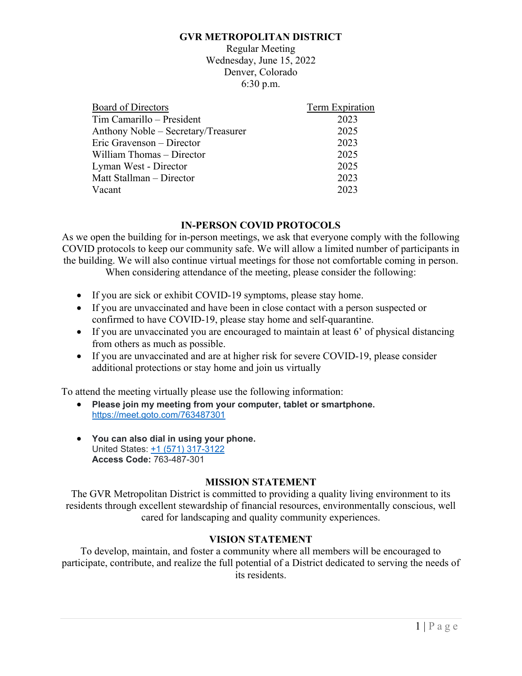#### **GVR METROPOLITAN DISTRICT**

Regular Meeting Wednesday, June 15, 2022 Denver, Colorado 6:30 p.m.

| Board of Directors                  | Term Expiration |
|-------------------------------------|-----------------|
| Tim Camarillo – President           | 2023            |
| Anthony Noble - Secretary/Treasurer | 2025            |
| Eric Gravenson - Director           | 2023            |
| William Thomas – Director           | 2025            |
| Lyman West - Director               | 2025            |
| Matt Stallman - Director            | 2023            |
| Vacant                              | 2023            |

### **IN-PERSON COVID PROTOCOLS**

As we open the building for in-person meetings, we ask that everyone comply with the following COVID protocols to keep our community safe. We will allow a limited number of participants in the building. We will also continue virtual meetings for those not comfortable coming in person.

When considering attendance of the meeting, please consider the following:

- If you are sick or exhibit COVID-19 symptoms, please stay home.
- If you are unvaccinated and have been in close contact with a person suspected or confirmed to have COVID-19, please stay home and self-quarantine.
- If you are unvaccinated you are encouraged to maintain at least 6' of physical distancing from others as much as possible.
- If you are unvaccinated and are at higher risk for severe COVID-19, please consider additional protections or stay home and join us virtually

To attend the meeting virtually please use the following information:

- **Please join my meeting from your computer, tablet or smartphone.** https://meet.goto.com/763487301
- **You can also dial in using your phone.** United States: +1 (571) 317-3122 **Access Code:** 763-487-301

### **MISSION STATEMENT**

The GVR Metropolitan District is committed to providing a quality living environment to its residents through excellent stewardship of financial resources, environmentally conscious, well cared for landscaping and quality community experiences.

### **VISION STATEMENT**

To develop, maintain, and foster a community where all members will be encouraged to participate, contribute, and realize the full potential of a District dedicated to serving the needs of its residents.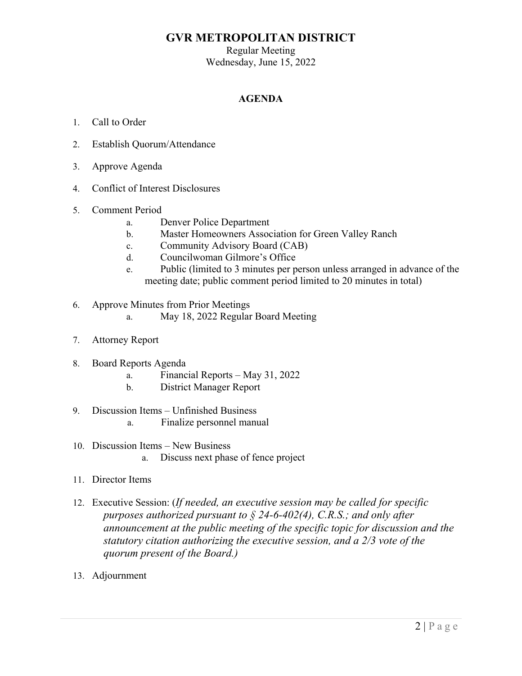# **GVR METROPOLITAN DISTRICT**

Regular Meeting Wednesday, June 15, 2022

### **AGENDA**

- 1. Call to Order
- 2. Establish Quorum/Attendance
- 3. Approve Agenda
- 4. Conflict of Interest Disclosures
- 5. Comment Period
	- a. Denver Police Department
	- b. Master Homeowners Association for Green Valley Ranch
	- c. Community Advisory Board (CAB)
	- d. Councilwoman Gilmore's Office
	- e. Public (limited to 3 minutes per person unless arranged in advance of the meeting date; public comment period limited to 20 minutes in total)
- 6. Approve Minutes from Prior Meetings
	- a. May 18, 2022 Regular Board Meeting
- 7. Attorney Report
- 8. Board Reports Agenda
	- a. Financial Reports May 31, 2022
	- b. District Manager Report
- 9. Discussion Items Unfinished Business
	- a. Finalize personnel manual
- 10. Discussion Items New Business a. Discuss next phase of fence project
- 11. Director Items
- 12. Executive Session: (*If needed, an executive session may be called for specific purposes authorized pursuant to § 24-6-402(4), C.R.S.; and only after announcement at the public meeting of the specific topic for discussion and the statutory citation authorizing the executive session, and a 2/3 vote of the quorum present of the Board.)*
- 13. Adjournment